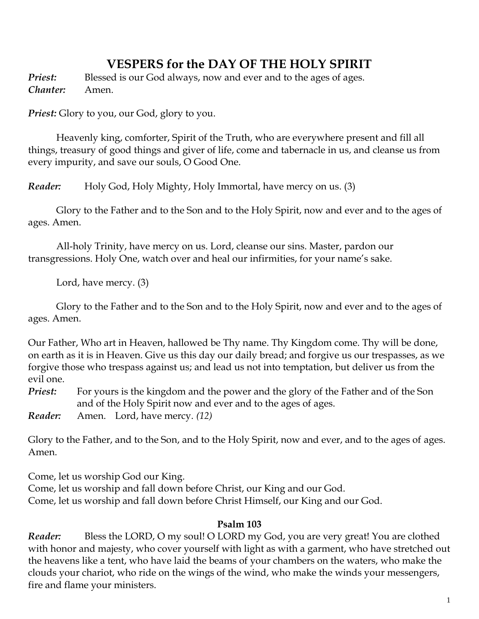# **VESPERS for the DAY OF THE HOLY SPIRIT**

**Priest:** Blessed is our God always, now and ever and to the ages of ages. *Chanter:* Amen.

*Priest:* Glory to you, our God, glory to you.

Ηeavenly king, comforter, Spirit of the Truth, who are everywhere present and fill all things, treasury of good things and giver of life, come and tabernacle in us, and cleanse us from every impurity, and save our souls, O Good One.

*Reader:* Holy God, Holy Mighty, Holy Immortal, have mercy on us. (3)

Glory to the Father and to the Son and to the Holy Spirit, now and ever and to the ages of ages. Amen.

All-holy Trinity, have mercy on us. Lord, cleanse our sins. Master, pardon our transgressions. Holy One, watch over and heal our infirmities, for your name's sake.

Lord, have mercy. (3)

Glory to the Father and to the Son and to the Holy Spirit, now and ever and to the ages of ages. Amen.

Our Father, Who art in Heaven, hallowed be Thy name. Thy Kingdom come. Thy will be done, on earth as it is in Heaven. Give us this day our daily bread; and forgive us our trespasses, as we forgive those who trespass against us; and lead us not into temptation, but deliver us from the evil one.

*Priest:* For yours is the kingdom and the power and the glory of the Father and of the Son and of the Holy Spirit now and ever and to the ages of ages.

*Reader:* Amen.Lord, have mercy. *(12)*

Glory to the Father, and to the Son, and to the Holy Spirit, now and ever, and to the ages of ages. Amen.

Come, let us worship God our King.

Come, let us worship and fall down before Christ, our King and our God. Come, let us worship and fall down before Christ Himself, our King and our God.

## **Psalm 103**

*Reader:* Bless the LORD, O my soul! O LORD my God, you are very great! You are clothed with honor and majesty, who cover yourself with light as with a garment, who have stretched out the heavens like a tent, who have laid the beams of your chambers on the waters, who make the clouds your chariot, who ride on the wings of the wind, who make the winds your messengers, fire and flame your ministers.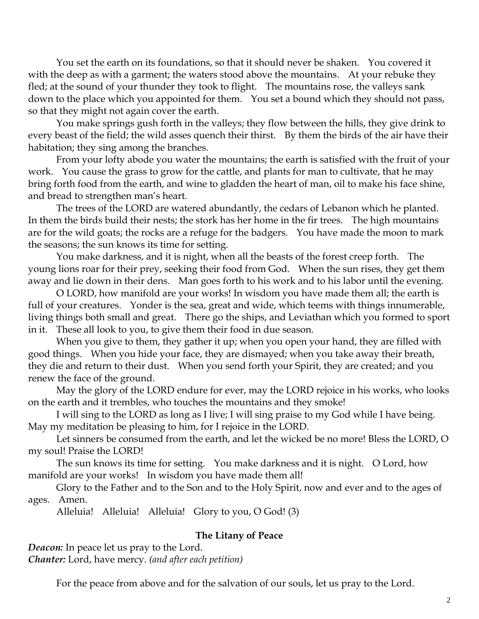You set the earth on its foundations, so that it should never be shaken. You covered it with the deep as with a garment; the waters stood above the mountains. At your rebuke they fled; at the sound of your thunder they took to flight. The mountains rose, the valleys sank down to the place which you appointed for them. You set a bound which they should not pass, so that they might not again cover the earth.

You make springs gush forth in the valleys; they flow between the hills, they give drink to every beast of the field; the wild asses quench their thirst. By them the birds of the air have their habitation; they sing among the branches.

From your lofty abode you water the mountains; the earth is satisfied with the fruit of your work. You cause the grass to grow for the cattle, and plants for man to cultivate, that he may bring forth food from the earth, and wine to gladden the heart of man, oil to make his face shine, and bread to strengthen man's heart.

The trees of the LORD are watered abundantly, the cedars of Lebanon which he planted. In them the birds build their nests; the stork has her home in the fir trees. The high mountains are for the wild goats; the rocks are a refuge for the badgers. You have made the moon to mark the seasons; the sun knows its time for setting.

You make darkness, and it is night, when all the beasts of the forest creep forth. The young lions roar for their prey, seeking their food from God. When the sun rises, they get them away and lie down in their dens. Man goes forth to his work and to his labor until the evening.

O LORD, how manifold are your works! In wisdom you have made them all; the earth is full of your creatures. Yonder is the sea, great and wide, which teems with things innumerable, living things both small and great. There go the ships, and Leviathan which you formed to sport in it. These all look to you, to give them their food in due season.

When you give to them, they gather it up; when you open your hand, they are filled with good things. When you hide your face, they are dismayed; when you take away their breath, they die and return to their dust. When you send forth your Spirit, they are created; and you renew the face of the ground.

May the glory of the LORD endure for ever, may the LORD rejoice in his works, who looks on the earth and it trembles, who touches the mountains and they smoke!

I will sing to the LORD as long as I live; I will sing praise to my God while I have being. May my meditation be pleasing to him, for I rejoice in the LORD.

Let sinners be consumed from the earth, and let the wicked be no more! Bless the LORD, O my soul! Praise the LORD!

The sun knows its time for setting. You make darkness and it is night. O Lord, how manifold are your works! In wisdom you have made them all!

Glory to the Father and to the Son and to the Holy Spirit, now and ever and to the ages of ages. Amen.

Alleluia! Alleluia! Alleluia! Glory to you, O God! (3)

### **The Litany of Peace**

*Deacon:* In peace let us pray to the Lord. *Chanter:* Lord, have mercy. *(and after each petition)*

For the peace from above and for the salvation of our souls, let us pray to the Lord.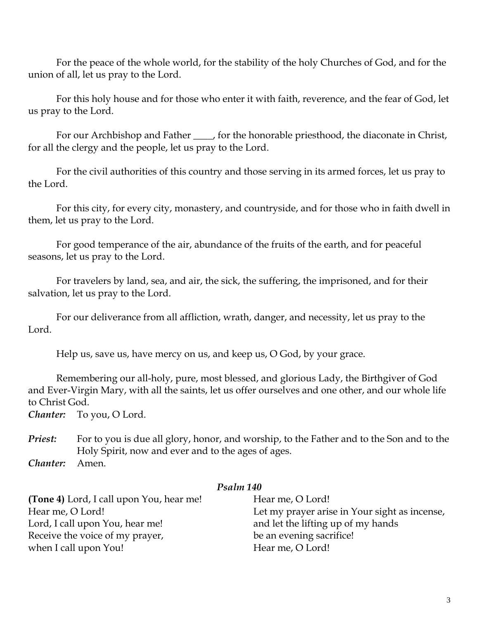For the peace of the whole world, for the stability of the holy Churches of God, and for the union of all, let us pray to the Lord.

For this holy house and for those who enter it with faith, reverence, and the fear of God, let us pray to the Lord.

For our Archbishop and Father \_\_\_\_, for the honorable priesthood, the diaconate in Christ, for all the clergy and the people, let us pray to the Lord.

For the civil authorities of this country and those serving in its armed forces, let us pray to the Lord.

For this city, for every city, monastery, and countryside, and for those who in faith dwell in them, let us pray to the Lord.

For good temperance of the air, abundance of the fruits of the earth, and for peaceful seasons, let us pray to the Lord.

For travelers by land, sea, and air, the sick, the suffering, the imprisoned, and for their salvation, let us pray to the Lord.

For our deliverance from all affliction, wrath, danger, and necessity, let us pray to the Lord.

Help us, save us, have mercy on us, and keep us, O God, by your grace.

Remembering our all-holy, pure, most blessed, and glorious Lady, the Birthgiver of God and Ever-Virgin Mary, with all the saints, let us offer ourselves and one other, and our whole life to Christ God.

*Chanter:* To you, O Lord.

*Priest:* For to you is due all glory, honor, and worship, to the Father and to the Son and to the Holy Spirit, now and ever and to the ages of ages.

*Chanter:* Amen.

#### *Psalm 140*

**(Tone 4)** Lord, I call upon You, hear me! Hear me, O Lord! Lord, I call upon You, hear me! Receive the voice of my prayer, when I call upon You!

Hear me, O Lord! Let my prayer arise in Your sight as incense, and let the lifting up of my hands be an evening sacrifice! Hear me, O Lord!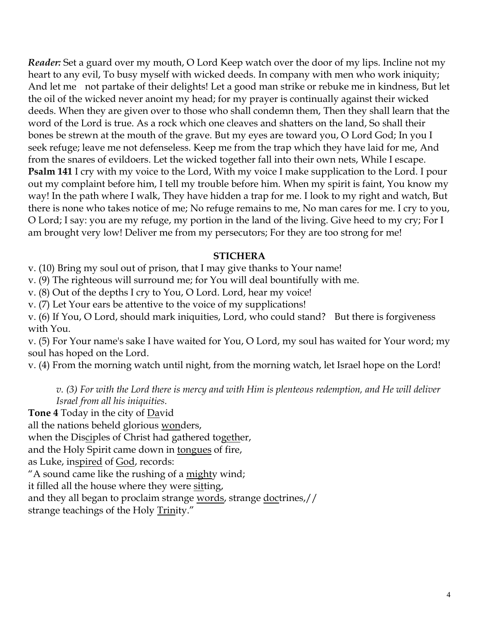*Reader:* Set a guard over my mouth, O Lord Keep watch over the door of my lips. Incline not my heart to any evil, To busy myself with wicked deeds. In company with men who work iniquity; And let me not partake of their delights! Let a good man strike or rebuke me in kindness, But let the oil of the wicked never anoint my head; for my prayer is continually against their wicked deeds. When they are given over to those who shall condemn them, Then they shall learn that the word of the Lord is true. As a rock which one cleaves and shatters on the land, So shall their bones be strewn at the mouth of the grave. But my eyes are toward you, O Lord God; In you I seek refuge; leave me not defenseless. Keep me from the trap which they have laid for me, And from the snares of evildoers. Let the wicked together fall into their own nets, While I escape. **Psalm 141** I cry with my voice to the Lord, With my voice I make supplication to the Lord. I pour out my complaint before him, I tell my trouble before him. When my spirit is faint, You know my way! In the path where I walk, They have hidden a trap for me. I look to my right and watch, But there is none who takes notice of me; No refuge remains to me, No man cares for me. I cry to you, O Lord; I say: you are my refuge, my portion in the land of the living. Give heed to my cry; For I am brought very low! Deliver me from my persecutors; For they are too strong for me!

## **STICHERA**

v. (10) Bring my soul out of prison, that I may give thanks to Your name!

v. (9) The righteous will surround me; for You will deal bountifully with me.

v. (8) Out of the depths I cry to You, O Lord. Lord, hear my voice!

v. (7) Let Your ears be attentive to the voice of my supplications!

v. (6) If You, O Lord, should mark iniquities, Lord, who could stand? But there is forgiveness with You.

v. (5) For Your name's sake I have waited for You, O Lord, my soul has waited for Your word; my soul has hoped on the Lord.

v. (4) From the morning watch until night, from the morning watch, let Israel hope on the Lord!

*v. (3) For with the Lord there is mercy and with Him is plenteous redemption, and He will deliver Israel from all his iniquities.*

**Tone 4** Today in the city of David

all the nations beheld glorious wonders,

when the Disciples of Christ had gathered together,

and the Holy Spirit came down in tongues of fire,

as Luke, inspired of God, records:

"A sound came like the rushing of a mighty wind;

it filled all the house where they were sitting,

and they all began to proclaim strange words, strange doctrines,//

strange teachings of the Holy Trinity."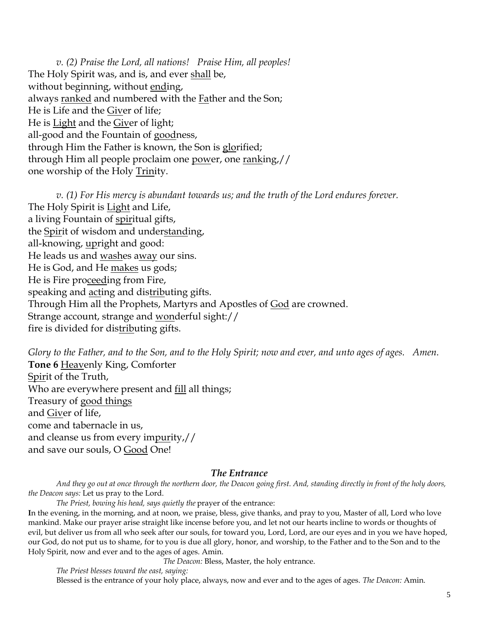*v. (2) Praise the Lord, all nations! Praise Him, all peoples!* The Holy Spirit was, and is, and ever shall be, without beginning, without ending, always ranked and numbered with the Father and the Son; He is Life and the Giver of life; He is Light and the Giver of light; all-good and the Fountain of goodness, through Him the Father is known, the Son is glorified; through Him all people proclaim one power, one ranking,// one worship of the Holy Trinity.

*v. (1) For His mercy is abundant towards us; and the truth of the Lord endures forever.*  The Holy Spirit is Light and Life, a living Fountain of spiritual gifts, the Spirit of wisdom and understanding, all-knowing, upright and good: He leads us and washes away our sins. He is God, and He makes us gods; He is Fire proceeding from Fire, speaking and acting and distributing gifts. Through Him all the Prophets, Martyrs and Apostles of God are crowned. Strange account, strange and wonderful sight:// fire is divided for distributing gifts.

*Glory to the Father, and to the Son, and to the Holy Spirit; now and ever, and unto ages of ages. Amen.*  **Tone 6** Heavenly King, Comforter Spirit of the Truth, Who are everywhere present and fill all things; Treasury of good things and Giver of life, come and tabernacle in us, and cleanse us from every impurity,// and save our souls, O Good One!

#### *The Entrance*

*And they go out at once through the northern door, the Deacon going first. And, standing directly in front of the holy doors, the Deacon says:* Let us pray to the Lord.

*The Priest, bowing his head, says quietly the* prayer of the entrance:

**I**n the evening, in the morning, and at noon, we praise, bless, give thanks, and pray to you, Master of all, Lord who love mankind. Make our prayer arise straight like incense before you, and let not our hearts incline to words or thoughts of evil, but deliver us from all who seek after our souls, for toward you, Lord, Lord, are our eyes and in you we have hoped, our God, do not put us to shame, for to you is due all glory, honor, and worship, to the Father and to the Son and to the Holy Spirit, now and ever and to the ages of ages. Amin.

*The Deacon:* Bless, Master, the holy entrance.

*The Priest blesses toward the east, saying:* Blessed is the entrance of your holy place, always, now and ever and to the ages of ages. *The Deacon:* Amin.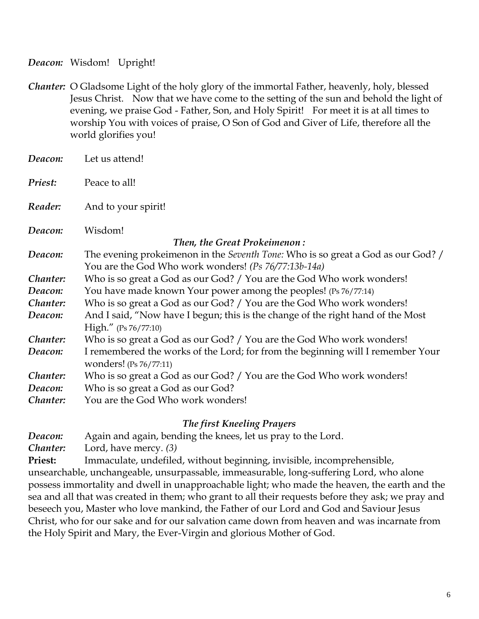*Deacon:* Wisdom! Upright!

*Chanter:* O Gladsome Light of the holy glory of the immortal Father, heavenly, holy, blessed Jesus Christ. Now that we have come to the setting of the sun and behold the light of evening, we praise God - Father, Son, and Holy Spirit! For meet it is at all times to worship You with voices of praise, O Son of God and Giver of Life, therefore all the world glorifies you!

| Deacon:                                                | Let us attend!                                                                                                                                                                                                                                                                                                                                                  |
|--------------------------------------------------------|-----------------------------------------------------------------------------------------------------------------------------------------------------------------------------------------------------------------------------------------------------------------------------------------------------------------------------------------------------------------|
| Priest:                                                | Peace to all!                                                                                                                                                                                                                                                                                                                                                   |
| Reader:                                                | And to your spirit!                                                                                                                                                                                                                                                                                                                                             |
| Deacon:                                                | Wisdom!                                                                                                                                                                                                                                                                                                                                                         |
| Then, the Great Prokeimenon:                           |                                                                                                                                                                                                                                                                                                                                                                 |
| Deacon:                                                | The evening prokeimenon in the <i>Seventh Tone:</i> Who is so great a God as our God? /                                                                                                                                                                                                                                                                         |
|                                                        | You are the God Who work wonders! (Ps 76/77:13b-14a)                                                                                                                                                                                                                                                                                                            |
| Chanter:                                               | Who is so great a God as our God? / You are the God Who work wonders!                                                                                                                                                                                                                                                                                           |
| Deacon:                                                | You have made known Your power among the peoples! (Ps 76/77:14)                                                                                                                                                                                                                                                                                                 |
| Chanter:                                               | Who is so great a God as our God? / You are the God Who work wonders!                                                                                                                                                                                                                                                                                           |
| Deacon:                                                | And I said, "Now have I begun; this is the change of the right hand of the Most                                                                                                                                                                                                                                                                                 |
|                                                        |                                                                                                                                                                                                                                                                                                                                                                 |
|                                                        |                                                                                                                                                                                                                                                                                                                                                                 |
|                                                        |                                                                                                                                                                                                                                                                                                                                                                 |
|                                                        |                                                                                                                                                                                                                                                                                                                                                                 |
|                                                        |                                                                                                                                                                                                                                                                                                                                                                 |
|                                                        |                                                                                                                                                                                                                                                                                                                                                                 |
|                                                        |                                                                                                                                                                                                                                                                                                                                                                 |
| Chanter:<br>Deacon:<br>Chanter:<br>Deacon:<br>Chanter: | High." $(Ps 76/77:10)$<br>Who is so great a God as our God? / You are the God Who work wonders!<br>I remembered the works of the Lord; for from the beginning will I remember Your<br>wonders! (Ps 76/77:11)<br>Who is so great a God as our God? / You are the God Who work wonders!<br>Who is so great a God as our God?<br>You are the God Who work wonders! |

### *The first Kneeling Prayers*

*Deacon:* Again and again, bending the knees, let us pray to the Lord.

*Chanter:* Lord, have mercy. *(3)*

**Priest:** Immaculate, undefiled, without beginning, invisible, incomprehensible, unsearchable, unchangeable, unsurpassable, immeasurable, long-suffering Lord, who alone possess immortality and dwell in unapproachable light; who made the heaven, the earth and the sea and all that was created in them; who grant to all their requests before they ask; we pray and beseech you, Master who love mankind, the Father of our Lord and God and Saviour Jesus Christ, who for our sake and for our salvation came down from heaven and was incarnate from the Holy Spirit and Mary, the Ever-Virgin and glorious Mother of God.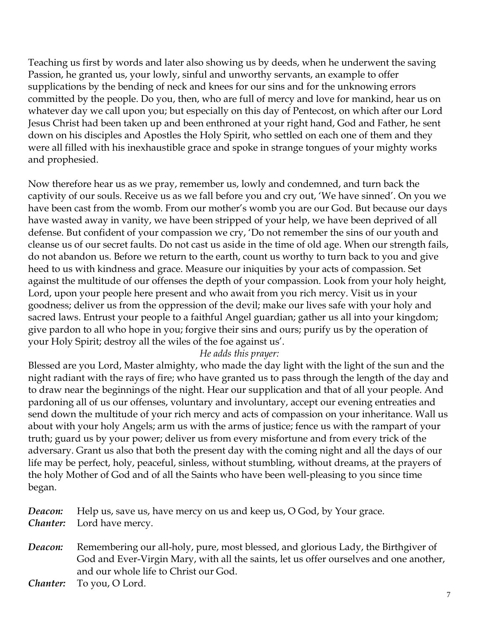Teaching us first by words and later also showing us by deeds, when he underwent the saving Passion, he granted us, your lowly, sinful and unworthy servants, an example to offer supplications by the bending of neck and knees for our sins and for the unknowing errors committed by the people. Do you, then, who are full of mercy and love for mankind, hear us on whatever day we call upon you; but especially on this day of Pentecost, on which after our Lord Jesus Christ had been taken up and been enthroned at your right hand, God and Father, he sent down on his disciples and Apostles the Holy Spirit, who settled on each one of them and they were all filled with his inexhaustible grace and spoke in strange tongues of your mighty works and prophesied.

Now therefore hear us as we pray, remember us, lowly and condemned, and turn back the captivity of our souls. Receive us as we fall before you and cry out, 'We have sinned'. On you we have been cast from the womb. From our mother's womb you are our God. But because our days have wasted away in vanity, we have been stripped of your help, we have been deprived of all defense. But confident of your compassion we cry, 'Do not remember the sins of our youth and cleanse us of our secret faults. Do not cast us aside in the time of old age. When our strength fails, do not abandon us. Before we return to the earth, count us worthy to turn back to you and give heed to us with kindness and grace. Measure our iniquities by your acts of compassion. Set against the multitude of our offenses the depth of your compassion. Look from your holy height, Lord, upon your people here present and who await from you rich mercy. Visit us in your goodness; deliver us from the oppression of the devil; make our lives safe with your holy and sacred laws. Entrust your people to a faithful Angel guardian; gather us all into your kingdom; give pardon to all who hope in you; forgive their sins and ours; purify us by the operation of your Holy Spirit; destroy all the wiles of the foe against us'.

## *He adds this prayer:*

Blessed are you Lord, Master almighty, who made the day light with the light of the sun and the night radiant with the rays of fire; who have granted us to pass through the length of the day and to draw near the beginnings of the night. Hear our supplication and that of all your people. And pardoning all of us our offenses, voluntary and involuntary, accept our evening entreaties and send down the multitude of your rich mercy and acts of compassion on your inheritance. Wall us about with your holy Angels; arm us with the arms of justice; fence us with the rampart of your truth; guard us by your power; deliver us from every misfortune and from every trick of the adversary. Grant us also that both the present day with the coming night and all the days of our life may be perfect, holy, peaceful, sinless, without stumbling, without dreams, at the prayers of the holy Mother of God and of all the Saints who have been well-pleasing to you since time began.

*Deacon:* Help us, save us, have mercy on us and keep us, O God, by Your grace. *Chanter:* Lord have mercy.

**Deacon:** Remembering our all-holy, pure, most blessed, and glorious Lady, the Birthgiver of God and Ever-Virgin Mary, with all the saints, let us offer ourselves and one another, and our whole life to Christ our God.

*Chanter:* To you, O Lord.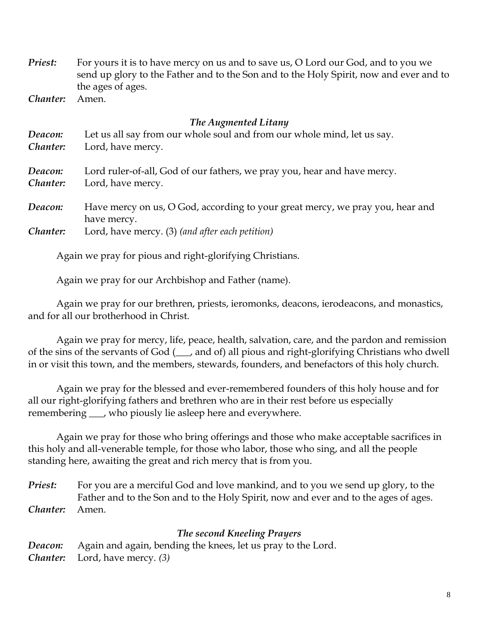*Priest:* For yours it is to have mercy on us and to save us, O Lord our God, and to you we send up glory to the Father and to the Son and to the Holy Spirit, now and ever and to the ages of ages.

*Chanter:* Amen.

#### *The Augmented Litany*

| Deacon:  | Let us all say from our whole soul and from our whole mind, let us say.                      |
|----------|----------------------------------------------------------------------------------------------|
| Chanter: | Lord, have mercy.                                                                            |
| Deacon:  | Lord ruler-of-all, God of our fathers, we pray you, hear and have mercy.                     |
| Chanter: | Lord, have mercy.                                                                            |
| Deacon:  | Have mercy on us, O God, according to your great mercy, we pray you, hear and<br>have mercy. |
| Chanter: | Lord, have mercy. (3) (and after each petition)                                              |

Again we pray for pious and right-glorifying Christians.

Again we pray for our Archbishop and Father (name).

Again we pray for our brethren, priests, ieromonks, deacons, ierodeacons, and monastics, and for all our brotherhood in Christ.

Again we pray for mercy, life, peace, health, salvation, care, and the pardon and remission of the sins of the servants of God (\_\_\_, and of) all pious and right-glorifying Christians who dwell in or visit this town, and the members, stewards, founders, and benefactors of this holy church.

Again we pray for the blessed and ever-remembered founders of this holy house and for all our right-glorifying fathers and brethren who are in their rest before us especially remembering \_\_\_, who piously lie asleep here and everywhere.

Again we pray for those who bring offerings and those who make acceptable sacrifices in this holy and all-venerable temple, for those who labor, those who sing, and all the people standing here, awaiting the great and rich mercy that is from you.

*Priest:* For you are a merciful God and love mankind, and to you we send up glory, to the Father and to the Son and to the Holy Spirit, now and ever and to the ages of ages. *Chanter:* Amen.

#### *The second Kneeling Prayers*

*Deacon:* Again and again, bending the knees, let us pray to the Lord. *Chanter:* Lord, have mercy. *(3)*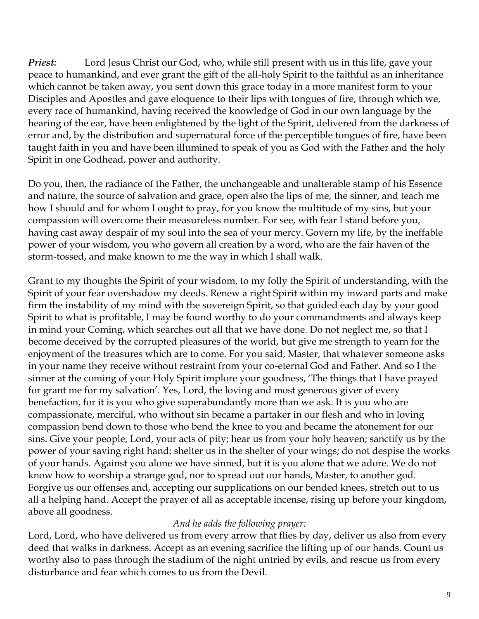*Priest:* Lord Jesus Christ our God, who, while still present with us in this life, gave your peace to humankind, and ever grant the gift of the all-holy Spirit to the faithful as an inheritance which cannot be taken away, you sent down this grace today in a more manifest form to your Disciples and Apostles and gave eloquence to their lips with tongues of fire, through which we, every race of humankind, having received the knowledge of God in our own language by the hearing of the ear, have been enlightened by the light of the Spirit, delivered from the darkness of error and, by the distribution and supernatural force of the perceptible tongues of fire, have been taught faith in you and have been illumined to speak of you as God with the Father and the holy Spirit in one Godhead, power and authority.

Do you, then, the radiance of the Father, the unchangeable and unalterable stamp of his Essence and nature, the source of salvation and grace, open also the lips of me, the sinner, and teach me how I should and for whom I ought to pray, for you know the multitude of my sins, but your compassion will overcome their measureless number. For see, with fear I stand before you, having cast away despair of my soul into the sea of your mercy. Govern my life, by the ineffable power of your wisdom, you who govern all creation by a word, who are the fair haven of the storm-tossed, and make known to me the way in which I shall walk.

Grant to my thoughts the Spirit of your wisdom, to my folly the Spirit of understanding, with the Spirit of your fear overshadow my deeds. Renew a right Spirit within my inward parts and make firm the instability of my mind with the sovereign Spirit, so that guided each day by your good Spirit to what is profitable, I may be found worthy to do your commandments and always keep in mind your Coming, which searches out all that we have done. Do not neglect me, so that I become deceived by the corrupted pleasures of the world, but give me strength to yearn for the enjoyment of the treasures which are to come. For you said, Master, that whatever someone asks in your name they receive without restraint from your co-eternal God and Father. And so I the sinner at the coming of your Holy Spirit implore your goodness, 'The things that I have prayed for grant me for my salvation'. Yes, Lord, the loving and most generous giver of every benefaction, for it is you who give superabundantly more than we ask. It is you who are compassionate, merciful, who without sin became a partaker in our flesh and who in loving compassion bend down to those who bend the knee to you and became the atonement for our sins. Give your people, Lord, your acts of pity; hear us from your holy heaven; sanctify us by the power of your saving right hand; shelter us in the shelter of your wings; do not despise the works of your hands. Against you alone we have sinned, but it is you alone that we adore. We do not know how to worship a strange god, nor to spread out our hands, Master, to another god. Forgive us our offenses and, accepting our supplications on our bended knees, stretch out to us all a helping hand. Accept the prayer of all as acceptable incense, rising up before your kingdom, above all goodness.

### *And he adds the following prayer:*

Lord, Lord, who have delivered us from every arrow that flies by day, deliver us also from every deed that walks in darkness. Accept as an evening sacrifice the lifting up of our hands. Count us worthy also to pass through the stadium of the night untried by evils, and rescue us from every disturbance and fear which comes to us from the Devil.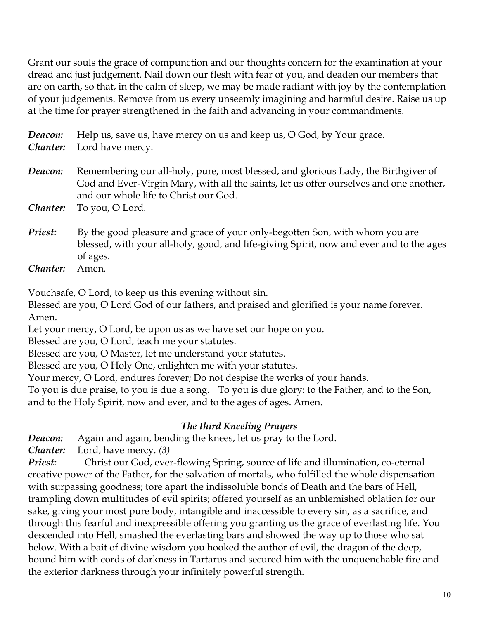Grant our souls the grace of compunction and our thoughts concern for the examination at your dread and just judgement. Nail down our flesh with fear of you, and deaden our members that are on earth, so that, in the calm of sleep, we may be made radiant with joy by the contemplation of your judgements. Remove from us every unseemly imagining and harmful desire. Raise us up at the time for prayer strengthened in the faith and advancing in your commandments.

*Deacon:* Help us, save us, have mercy on us and keep us, O God, by Your grace. *Chanter:* Lord have mercy. **Deacon:** Remembering our all-holy, pure, most blessed, and glorious Lady, the Birthgiver of God and Ever-Virgin Mary, with all the saints, let us offer ourselves and one another, and our whole life to Christ our God. *Chanter:* To you, O Lord. *Priest:* By the good pleasure and grace of your only-begotten Son, with whom you are blessed, with your all-holy, good, and life-giving Spirit, now and ever and to the ages of ages.

*Chanter:* Amen.

Vouchsafe, O Lord, to keep us this evening without sin.

Blessed are you, O Lord God of our fathers, and praised and glorified is your name forever. Amen.

Let your mercy, O Lord, be upon us as we have set our hope on you.

Blessed are you, O Lord, teach me your statutes.

Blessed are you, O Master, let me understand your statutes.

Blessed are you, O Holy One, enlighten me with your statutes.

Your mercy, O Lord, endures forever; Do not despise the works of your hands.

To you is due praise, to you is due a song. To you is due glory: to the Father, and to the Son, and to the Holy Spirit, now and ever, and to the ages of ages. Amen.

## *The third Kneeling Prayers*

*Deacon:* Again and again, bending the knees, let us pray to the Lord.

*Chanter:* Lord, have mercy. *(3)*

*Priest:* Christ our God, ever-flowing Spring, source of life and illumination, co-eternal creative power of the Father, for the salvation of mortals, who fulfilled the whole dispensation with surpassing goodness; tore apart the indissoluble bonds of Death and the bars of Hell, trampling down multitudes of evil spirits; offered yourself as an unblemished oblation for our sake, giving your most pure body, intangible and inaccessible to every sin, as a sacrifice, and through this fearful and inexpressible offering you granting us the grace of everlasting life. You descended into Hell, smashed the everlasting bars and showed the way up to those who sat below. With a bait of divine wisdom you hooked the author of evil, the dragon of the deep, bound him with cords of darkness in Tartarus and secured him with the unquenchable fire and the exterior darkness through your infinitely powerful strength.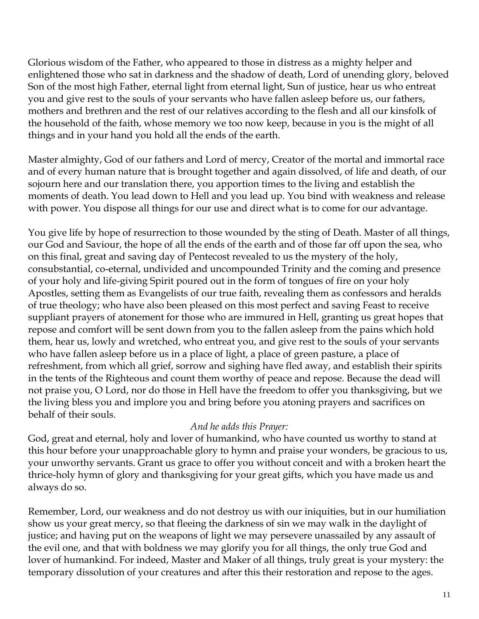Glorious wisdom of the Father, who appeared to those in distress as a mighty helper and enlightened those who sat in darkness and the shadow of death, Lord of unending glory, beloved Son of the most high Father, eternal light from eternal light, Sun of justice, hear us who entreat you and give rest to the souls of your servants who have fallen asleep before us, our fathers, mothers and brethren and the rest of our relatives according to the flesh and all our kinsfolk of the household of the faith, whose memory we too now keep, because in you is the might of all things and in your hand you hold all the ends of the earth.

Master almighty, God of our fathers and Lord of mercy, Creator of the mortal and immortal race and of every human nature that is brought together and again dissolved, of life and death, of our sojourn here and our translation there, you apportion times to the living and establish the moments of death. You lead down to Hell and you lead up. You bind with weakness and release with power. You dispose all things for our use and direct what is to come for our advantage.

You give life by hope of resurrection to those wounded by the sting of Death. Master of all things, our God and Saviour, the hope of all the ends of the earth and of those far off upon the sea, who on this final, great and saving day of Pentecost revealed to us the mystery of the holy, consubstantial, co-eternal, undivided and uncompounded Trinity and the coming and presence of your holy and life-giving Spirit poured out in the form of tongues of fire on your holy Apostles, setting them as Evangelists of our true faith, revealing them as confessors and heralds of true theology; who have also been pleased on this most perfect and saving Feast to receive suppliant prayers of atonement for those who are immured in Hell, granting us great hopes that repose and comfort will be sent down from you to the fallen asleep from the pains which hold them, hear us, lowly and wretched, who entreat you, and give rest to the souls of your servants who have fallen asleep before us in a place of light, a place of green pasture, a place of refreshment, from which all grief, sorrow and sighing have fled away, and establish their spirits in the tents of the Righteous and count them worthy of peace and repose. Because the dead will not praise you, O Lord, nor do those in Hell have the freedom to offer you thanksgiving, but we the living bless you and implore you and bring before you atoning prayers and sacrifices on behalf of their souls.

## *And he adds this Prayer:*

God, great and eternal, holy and lover of humankind, who have counted us worthy to stand at this hour before your unapproachable glory to hymn and praise your wonders, be gracious to us, your unworthy servants. Grant us grace to offer you without conceit and with a broken heart the thrice-holy hymn of glory and thanksgiving for your great gifts, which you have made us and always do so.

Remember, Lord, our weakness and do not destroy us with our iniquities, but in our humiliation show us your great mercy, so that fleeing the darkness of sin we may walk in the daylight of justice; and having put on the weapons of light we may persevere unassailed by any assault of the evil one, and that with boldness we may glorify you for all things, the only true God and lover of humankind. For indeed, Master and Maker of all things, truly great is your mystery: the temporary dissolution of your creatures and after this their restoration and repose to the ages.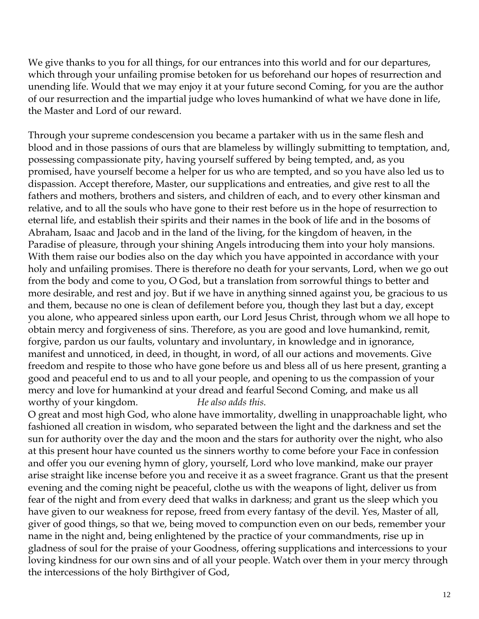We give thanks to you for all things, for our entrances into this world and for our departures, which through your unfailing promise betoken for us beforehand our hopes of resurrection and unending life. Would that we may enjoy it at your future second Coming, for you are the author of our resurrection and the impartial judge who loves humankind of what we have done in life, the Master and Lord of our reward.

Through your supreme condescension you became a partaker with us in the same flesh and blood and in those passions of ours that are blameless by willingly submitting to temptation, and, possessing compassionate pity, having yourself suffered by being tempted, and, as you promised, have yourself become a helper for us who are tempted, and so you have also led us to dispassion. Accept therefore, Master, our supplications and entreaties, and give rest to all the fathers and mothers, brothers and sisters, and children of each, and to every other kinsman and relative, and to all the souls who have gone to their rest before us in the hope of resurrection to eternal life, and establish their spirits and their names in the book of life and in the bosoms of Abraham, Isaac and Jacob and in the land of the living, for the kingdom of heaven, in the Paradise of pleasure, through your shining Angels introducing them into your holy mansions. With them raise our bodies also on the day which you have appointed in accordance with your holy and unfailing promises. There is therefore no death for your servants, Lord, when we go out from the body and come to you, O God, but a translation from sorrowful things to better and more desirable, and rest and joy. But if we have in anything sinned against you, be gracious to us and them, because no one is clean of defilement before you, though they last but a day, except you alone, who appeared sinless upon earth, our Lord Jesus Christ, through whom we all hope to obtain mercy and forgiveness of sins. Therefore, as you are good and love humankind, remit, forgive, pardon us our faults, voluntary and involuntary, in knowledge and in ignorance, manifest and unnoticed, in deed, in thought, in word, of all our actions and movements. Give freedom and respite to those who have gone before us and bless all of us here present, granting a good and peaceful end to us and to all your people, and opening to us the compassion of your mercy and love for humankind at your dread and fearful Second Coming, and make us all worthy of your kingdom. *He also adds this.*

O great and most high God, who alone have immortality, dwelling in unapproachable light, who fashioned all creation in wisdom, who separated between the light and the darkness and set the sun for authority over the day and the moon and the stars for authority over the night, who also at this present hour have counted us the sinners worthy to come before your Face in confession and offer you our evening hymn of glory, yourself, Lord who love mankind, make our prayer arise straight like incense before you and receive it as a sweet fragrance. Grant us that the present evening and the coming night be peaceful, clothe us with the weapons of light, deliver us from fear of the night and from every deed that walks in darkness; and grant us the sleep which you have given to our weakness for repose, freed from every fantasy of the devil. Yes, Master of all, giver of good things, so that we, being moved to compunction even on our beds, remember your name in the night and, being enlightened by the practice of your commandments, rise up in gladness of soul for the praise of your Goodness, offering supplications and intercessions to your loving kindness for our own sins and of all your people. Watch over them in your mercy through the intercessions of the holy Birthgiver of God,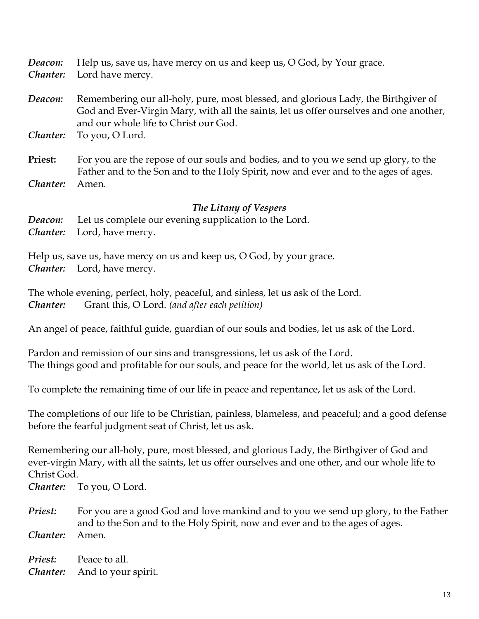*Deacon:* Help us, save us, have mercy on us and keep us, O God, by Your grace.

*Chanter:* Lord have mercy.

*Deacon:* Remembering our all-holy, pure, most blessed, and glorious Lady, the Birthgiver of God and Ever-Virgin Mary, with all the saints, let us offer ourselves and one another, and our whole life to Christ our God.

*Chanter:* To you, O Lord.

**Priest:** For you are the repose of our souls and bodies, and to you we send up glory, to the Father and to the Son and to the Holy Spirit, now and ever and to the ages of ages. *Chanter:* Amen.

### *The Litany of Vespers*

*Deacon:* Let us complete our evening supplication to the Lord. *Chanter:* Lord, have mercy.

Help us, save us, have mercy on us and keep us, O God, by your grace. *Chanter:* Lord, have mercy.

The whole evening, perfect, holy, peaceful, and sinless, let us ask of the Lord. *Chanter:* Grant this, O Lord. *(and after each petition)*

An angel of peace, faithful guide, guardian of our souls and bodies, let us ask of the Lord.

Pardon and remission of our sins and transgressions, let us ask of the Lord. The things good and profitable for our souls, and peace for the world, let us ask of the Lord.

To complete the remaining time of our life in peace and repentance, let us ask of the Lord.

The completions of our life to be Christian, painless, blameless, and peaceful; and a good defense before the fearful judgment seat of Christ, let us ask.

Remembering our all-holy, pure, most blessed, and glorious Lady, the Birthgiver of God and ever-virgin Mary, with all the saints, let us offer ourselves and one other, and our whole life to Christ God.

*Chanter:* To you, O Lord.

*Priest:* For you are a good God and love mankind and to you we send up glory, to the Father and to the Son and to the Holy Spirit, now and ever and to the ages of ages. *Chanter:* Amen.

**Priest:** Peace to all. *Chanter:* And to your spirit.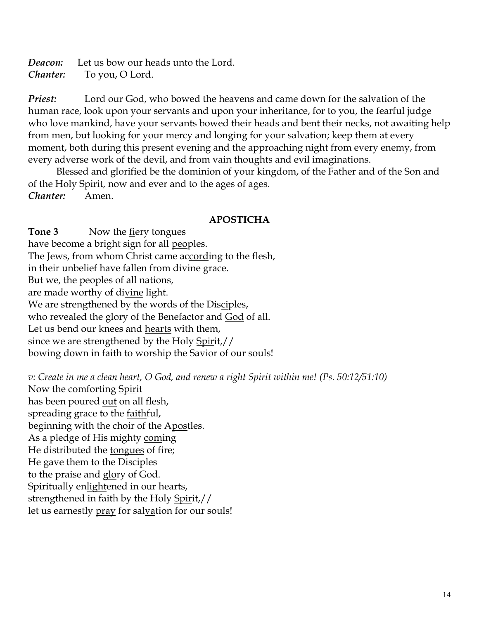*Deacon:* Let us bow our heads unto the Lord. *Chanter:* To you, O Lord.

*Priest:* Lord our God, who bowed the heavens and came down for the salvation of the human race, look upon your servants and upon your inheritance, for to you, the fearful judge who love mankind, have your servants bowed their heads and bent their necks, not awaiting help from men, but looking for your mercy and longing for your salvation; keep them at every moment, both during this present evening and the approaching night from every enemy, from every adverse work of the devil, and from vain thoughts and evil imaginations.

Blessed and glorified be the dominion of your kingdom, of the Father and of the Son and of the Holy Spirit, now and ever and to the ages of ages. *Chanter:* Amen.

### **APOSTICHA**

**Tone 3** Now the fiery tongues have become a bright sign for all peoples. The Jews, from whom Christ came according to the flesh, in their unbelief have fallen from divine grace. But we, the peoples of all nations, are made worthy of divine light. We are strengthened by the words of the Disciples, who revealed the glory of the Benefactor and God of all. Let us bend our knees and hearts with them, since we are strengthened by the Holy Spirit,// bowing down in faith to worship the Savior of our souls!

*v: Create in me a clean heart, O God, and renew a right Spirit within me! (Ps. 50:12/51:10)* Now the comforting Spirit has been poured out on all flesh, spreading grace to the faithful, beginning with the choir of the Apostles. As a pledge of His mighty coming He distributed the tongues of fire; He gave them to the Disciples to the praise and glory of God. Spiritually enlightened in our hearts, strengthened in faith by the Holy Spirit,// let us earnestly pray for salvation for our souls!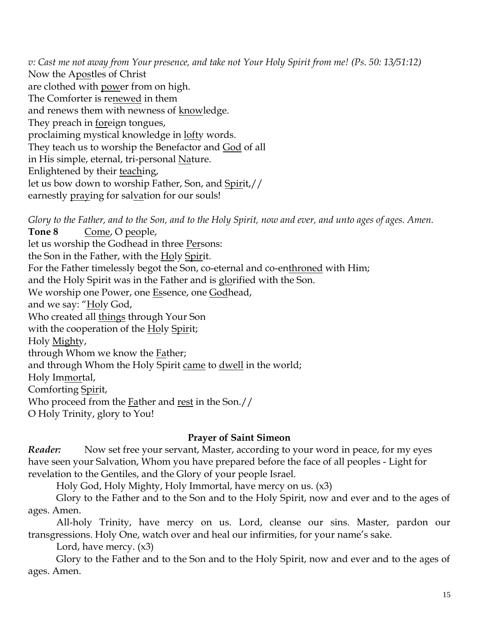*v: Cast me not away from Your presence, and take not Your Holy Spirit from me! (Ps. 50: 13/51:12)* Now the Apostles of Christ are clothed with power from on high. The Comforter is renewed in them and renews them with newness of knowledge. They preach in foreign tongues, proclaiming mystical knowledge in lofty words. They teach us to worship the Benefactor and God of all in His simple, eternal, tri-personal Nature. Enlightened by their teaching, let us bow down to worship Father, Son, and Spirit,// earnestly praying for salvation for our souls!

*Glory to the Father, and to the Son, and to the Holy Spirit, now and ever, and unto ages of ages. Amen.*  **Tone 8** Come, O people, let us worship the Godhead in three Persons: the Son in the Father, with the Holy Spirit. For the Father timelessly begot the Son, co-eternal and co-enthroned with Him; and the Holy Spirit was in the Father and is glorified with the Son. We worship one Power, one Essence, one Godhead, and we say: "Holy God, Who created all things through Your Son with the cooperation of the Holy Spirit; Holy Mighty, through Whom we know the Father; and through Whom the Holy Spirit came to dwell in the world; Holy Immortal, Comforting Spirit, Who proceed from the Father and rest in the Son.// O Holy Trinity, glory to You!

## **Prayer of Saint Simeon**

*Reader:* Now set free your servant, Master, according to your word in peace, for my eyes have seen your Salvation, Whom you have prepared before the face of all peoples - Light for revelation to the Gentiles, and the Glory of your people Israel.

Holy God, Holy Mighty, Holy Immortal, have mercy on us. (x3)

Glory to the Father and to the Son and to the Holy Spirit, now and ever and to the ages of ages. Amen.

All-holy Trinity, have mercy on us. Lord, cleanse our sins. Master, pardon our transgressions. Holy One, watch over and heal our infirmities, for your name's sake.

Lord, have mercy. (x3)

Glory to the Father and to the Son and to the Holy Spirit, now and ever and to the ages of ages. Amen.